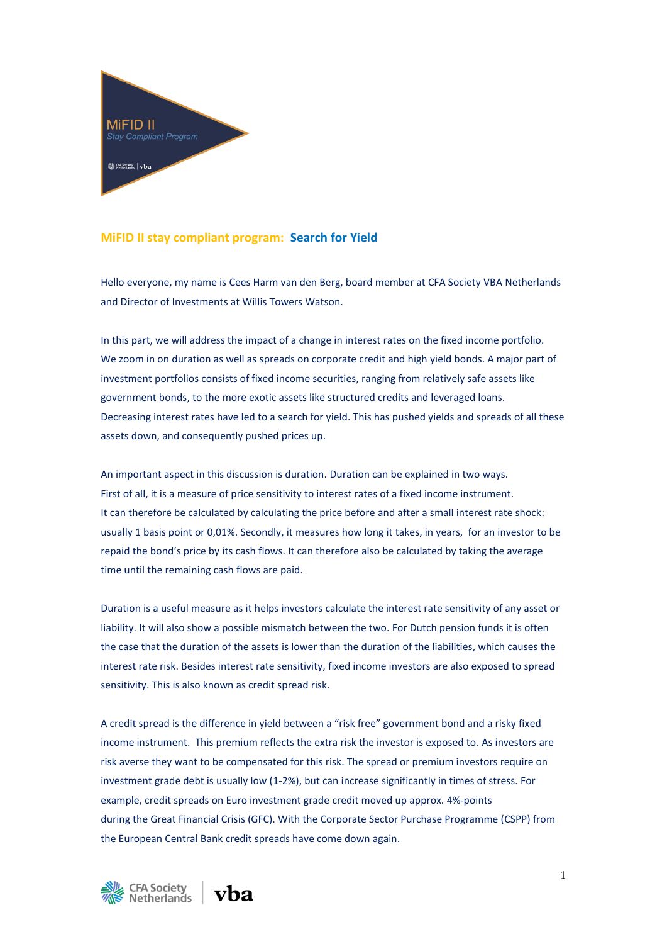

## **MiFID II stay compliant program: Search for Yield**

Hello everyone, my name is Cees Harm van den Berg, board member at CFA Society VBA Netherlands and Director of Investments at Willis Towers Watson.

In this part, we will address the impact of a change in interest rates on the fixed income portfolio. We zoom in on duration as well as spreads on corporate credit and high yield bonds. A major part of investment portfolios consists of fixed income securities, ranging from relatively safe assets like government bonds, to the more exotic assets like structured credits and leveraged loans. Decreasing interest rates have led to a search for yield. This has pushed yields and spreads of all these assets down, and consequently pushed prices up.

An important aspect in this discussion is duration. Duration can be explained in two ways. First of all, it is a measure of price sensitivity to interest rates of a fixed income instrument. It can therefore be calculated by calculating the price before and after a small interest rate shock: usually 1 basis point or 0,01%. Secondly, it measures how long it takes, in years, for an investor to be repaid the bond's price by its cash flows. It can therefore also be calculated by taking the average time until the remaining cash flows are paid.

Duration is a useful measure as it helps investors calculate the interest rate sensitivity of any asset or liability. It will also show a possible mismatch between the two. For Dutch pension funds it is often the case that the duration of the assets is lower than the duration of the liabilities, which causes the interest rate risk. Besides interest rate sensitivity, fixed income investors are also exposed to spread sensitivity. This is also known as credit spread risk.

A credit spread is the difference in yield between a "risk free" government bond and a risky fixed income instrument. This premium reflects the extra risk the investor is exposed to. As investors are risk averse they want to be compensated for this risk. The spread or premium investors require on investment grade debt is usually low (1-2%), but can increase significantly in times of stress. For example, credit spreads on Euro investment grade credit moved up approx. 4%-points during the Great Financial Crisis (GFC). With the Corporate Sector Purchase Programme (CSPP) from the European Central Bank credit spreads have come down again.



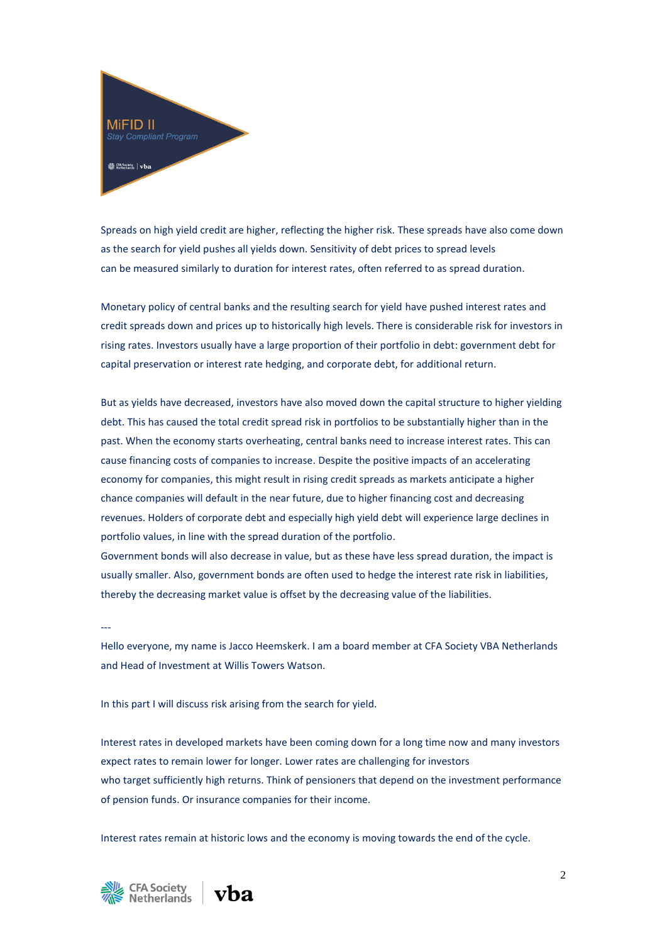

Spreads on high yield credit are higher, reflecting the higher risk. These spreads have also come down as the search for yield pushes all yields down. Sensitivity of debt prices to spread levels can be measured similarly to duration for interest rates, often referred to as spread duration.

Monetary policy of central banks and the resulting search for yield have pushed interest rates and credit spreads down and prices up to historically high levels. There is considerable risk for investors in rising rates. Investors usually have a large proportion of their portfolio in debt: government debt for capital preservation or interest rate hedging, and corporate debt, for additional return.

But as yields have decreased, investors have also moved down the capital structure to higher yielding debt. This has caused the total credit spread risk in portfolios to be substantially higher than in the past. When the economy starts overheating, central banks need to increase interest rates. This can cause financing costs of companies to increase. Despite the positive impacts of an accelerating economy for companies, this might result in rising credit spreads as markets anticipate a higher chance companies will default in the near future, due to higher financing cost and decreasing revenues. Holders of corporate debt and especially high yield debt will experience large declines in portfolio values, in line with the spread duration of the portfolio.

Government bonds will also decrease in value, but as these have less spread duration, the impact is usually smaller. Also, government bonds are often used to hedge the interest rate risk in liabilities, thereby the decreasing market value is offset by the decreasing value of the liabilities.

Hello everyone, my name is Jacco Heemskerk. I am a board member at CFA Society VBA Netherlands and Head of Investment at Willis Towers Watson.

In this part I will discuss risk arising from the search for yield.

Interest rates in developed markets have been coming down for a long time now and many investors expect rates to remain lower for longer. Lower rates are challenging for investors who target sufficiently high returns. Think of pensioners that depend on the investment performance of pension funds. Or insurance companies for their income.

Interest rates remain at historic lows and the economy is moving towards the end of the cycle.



---

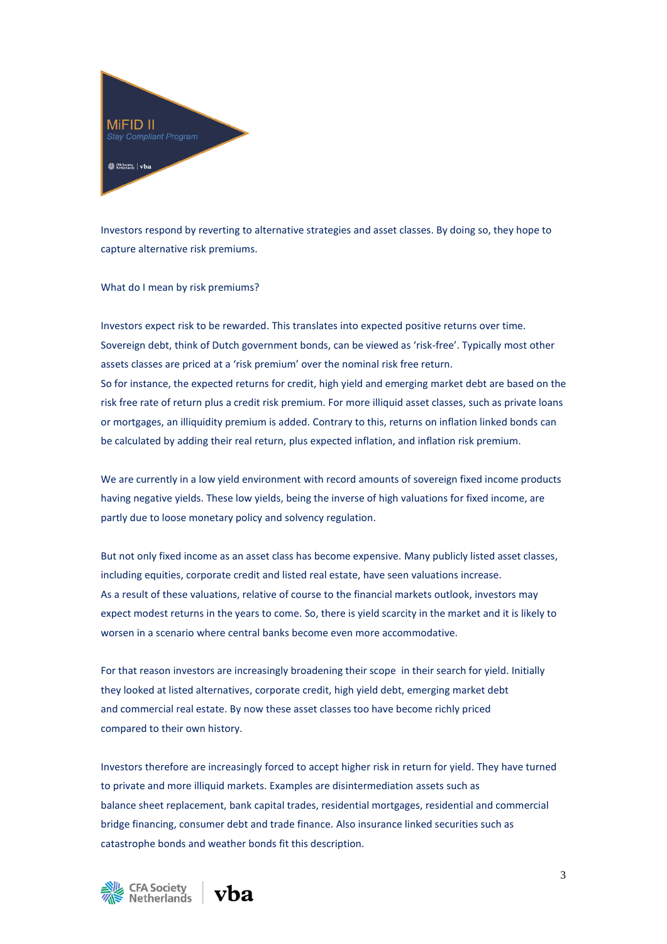

Investors respond by reverting to alternative strategies and asset classes. By doing so, they hope to capture alternative risk premiums.

What do I mean by risk premiums?

Investors expect risk to be rewarded. This translates into expected positive returns over time. Sovereign debt, think of Dutch government bonds, can be viewed as 'risk-free'. Typically most other assets classes are priced at a 'risk premium' over the nominal risk free return. So for instance, the expected returns for credit, high yield and emerging market debt are based on the risk free rate of return plus a credit risk premium. For more illiquid asset classes, such as private loans or mortgages, an illiquidity premium is added. Contrary to this, returns on inflation linked bonds can be calculated by adding their real return, plus expected inflation, and inflation risk premium.

We are currently in a low yield environment with record amounts of sovereign fixed income products having negative yields. These low yields, being the inverse of high valuations for fixed income, are partly due to loose monetary policy and solvency regulation.

But not only fixed income as an asset class has become expensive. Many publicly listed asset classes, including equities, corporate credit and listed real estate, have seen valuations increase. As a result of these valuations, relative of course to the financial markets outlook, investors may expect modest returns in the years to come. So, there is yield scarcity in the market and it is likely to worsen in a scenario where central banks become even more accommodative.

For that reason investors are increasingly broadening their scope in their search for yield. Initially they looked at listed alternatives, corporate credit, high yield debt, emerging market debt and commercial real estate. By now these asset classes too have become richly priced compared to their own history.

Investors therefore are increasingly forced to accept higher risk in return for yield. They have turned to private and more illiquid markets. Examples are disintermediation assets such as balance sheet replacement, bank capital trades, residential mortgages, residential and commercial bridge financing, consumer debt and trade finance. Also insurance linked securities such as catastrophe bonds and weather bonds fit this description.



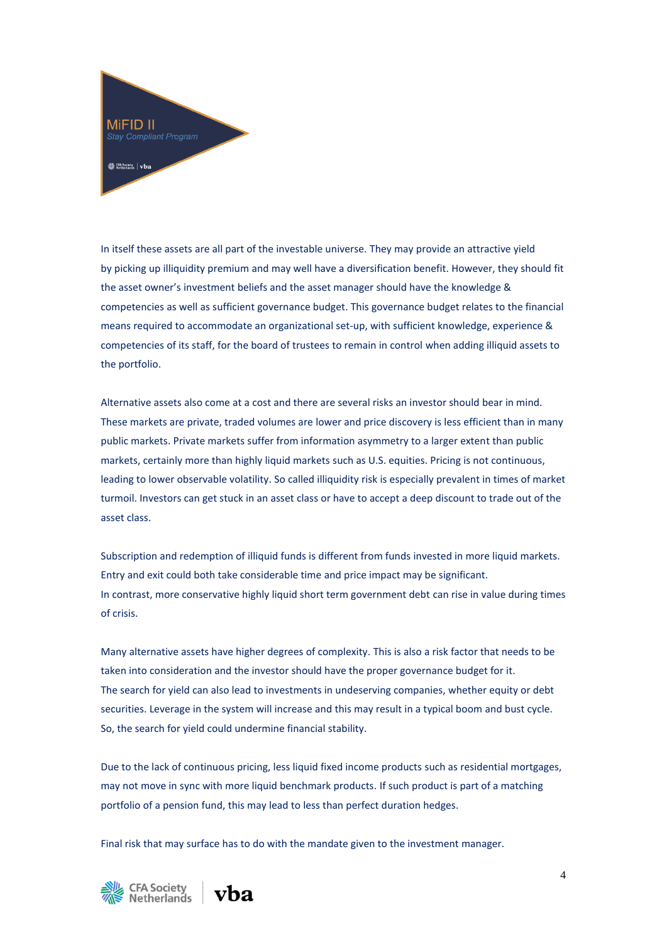

In itself these assets are all part of the investable universe. They may provide an attractive yield by picking up illiquidity premium and may well have a diversification benefit. However, they should fit the asset owner's investment beliefs and the asset manager should have the knowledge & competencies as well as sufficient governance budget. This governance budget relates to the financial means required to accommodate an organizational set-up, with sufficient knowledge, experience & competencies of its staff, for the board of trustees to remain in control when adding illiquid assets to the portfolio.

Alternative assets also come at a cost and there are several risks an investor should bear in mind. These markets are private, traded volumes are lower and price discovery is less efficient than in many public markets. Private markets suffer from information asymmetry to a larger extent than public markets, certainly more than highly liquid markets such as U.S. equities. Pricing is not continuous, leading to lower observable volatility. So called illiquidity risk is especially prevalent in times of market turmoil. Investors can get stuck in an asset class or have to accept a deep discount to trade out of the asset class.

Subscription and redemption of illiquid funds is different from funds invested in more liquid markets. Entry and exit could both take considerable time and price impact may be significant. In contrast, more conservative highly liquid short term government debt can rise in value during times of crisis.

Many alternative assets have higher degrees of complexity. This is also a risk factor that needs to be taken into consideration and the investor should have the proper governance budget for it. The search for yield can also lead to investments in undeserving companies, whether equity or debt securities. Leverage in the system will increase and this may result in a typical boom and bust cycle. So, the search for yield could undermine financial stability.

Due to the lack of continuous pricing, less liquid fixed income products such as residential mortgages, may not move in sync with more liquid benchmark products. If such product is part of a matching portfolio of a pension fund, this may lead to less than perfect duration hedges.

Final risk that may surface has to do with the mandate given to the investment manager.



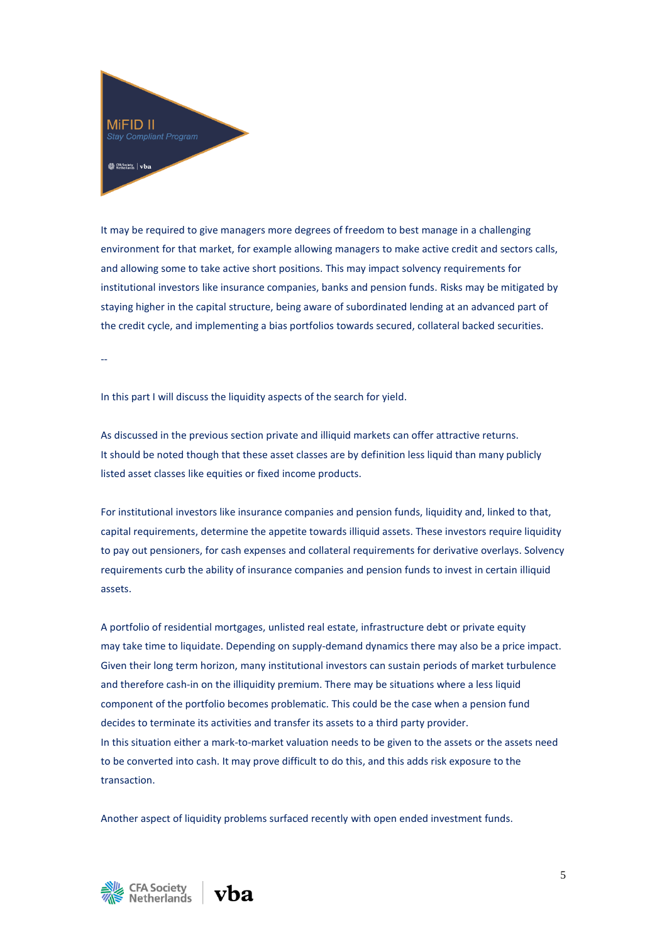

It may be required to give managers more degrees of freedom to best manage in a challenging environment for that market, for example allowing managers to make active credit and sectors calls, and allowing some to take active short positions. This may impact solvency requirements for institutional investors like insurance companies, banks and pension funds. Risks may be mitigated by staying higher in the capital structure, being aware of subordinated lending at an advanced part of the credit cycle, and implementing a bias portfolios towards secured, collateral backed securities.

--

In this part I will discuss the liquidity aspects of the search for yield.

As discussed in the previous section private and illiquid markets can offer attractive returns. It should be noted though that these asset classes are by definition less liquid than many publicly listed asset classes like equities or fixed income products.

For institutional investors like insurance companies and pension funds, liquidity and, linked to that, capital requirements, determine the appetite towards illiquid assets. These investors require liquidity to pay out pensioners, for cash expenses and collateral requirements for derivative overlays. Solvency requirements curb the ability of insurance companies and pension funds to invest in certain illiquid assets.

A portfolio of residential mortgages, unlisted real estate, infrastructure debt or private equity may take time to liquidate. Depending on supply-demand dynamics there may also be a price impact. Given their long term horizon, many institutional investors can sustain periods of market turbulence and therefore cash-in on the illiquidity premium. There may be situations where a less liquid component of the portfolio becomes problematic. This could be the case when a pension fund decides to terminate its activities and transfer its assets to a third party provider. In this situation either a mark-to-market valuation needs to be given to the assets or the assets need to be converted into cash. It may prove difficult to do this, and this adds risk exposure to the transaction.

Another aspect of liquidity problems surfaced recently with open ended investment funds.